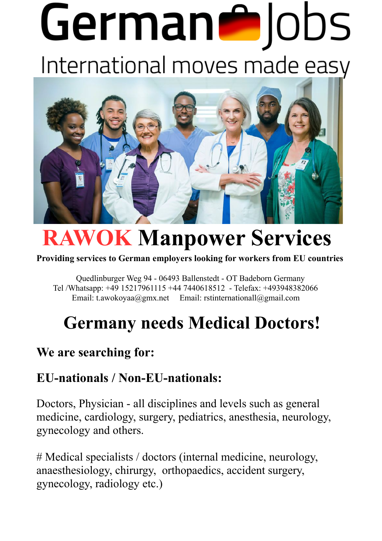# German<sup>o</sup>Jobs International moves made easy



## **RAWOK Manpower Services**

#### **Providing services to German employers looking for workers from EU countries**

 Quedlinburger Weg 94 - 06493 Ballenstedt - OT Badeborn Germany Tel /Whatsapp: +49 15217961115 +44 7440618512 - Telefax: +493948382066 Email: t.awokoyaa@gmx.net Email: rstinternationall@gmail.com

### **Germany needs Medical Doctors!**

#### **We are searching for:**

#### **EU-nationals / Non-EU-nationals:**

Doctors, Physician - all disciplines and levels such as general medicine, cardiology, surgery, pediatrics, anesthesia, neurology, gynecology and others.

# Medical specialists / doctors (internal medicine, neurology, anaesthesiology, chirurgy, orthopaedics, accident surgery, gynecology, radiology etc.)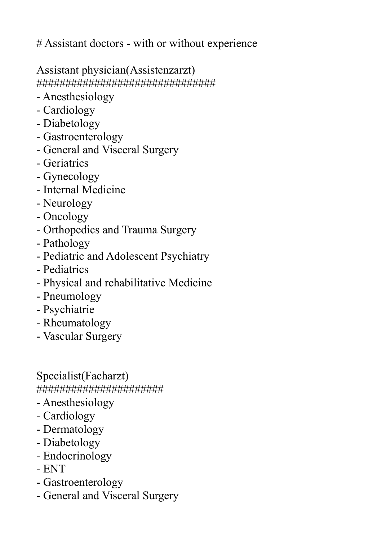# Assistant doctors - with or without experience

Assistant physician(Assistenzarzt)

###############################

- Anesthesiology
- Cardiology
- Diabetology
- Gastroenterology
- General and Visceral Surgery
- Geriatrics
- Gynecology
- Internal Medicine
- Neurology
- Oncology
- Orthopedics and Trauma Surgery
- Pathology
- Pediatric and Adolescent Psychiatry
- Pediatrics
- Physical and rehabilitative Medicine
- Pneumology
- Psychiatrie
- Rheumatology
- Vascular Surgery

Specialist(Facharzt) ######################

- Anesthesiology
- Cardiology
- Dermatology
- Diabetology
- Endocrinology
- ENT
- Gastroenterology
- General and Visceral Surgery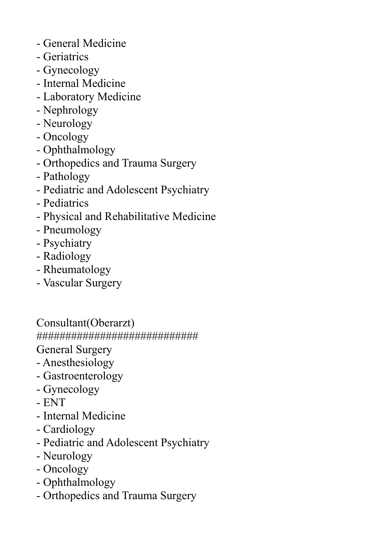- General Medicine
- Geriatrics
- Gynecology
- Internal Medicine
- Laboratory Medicine
- Nephrology
- Neurology
- Oncology
- Ophthalmology
- Orthopedics and Trauma Surgery
- Pathology
- Pediatric and Adolescent Psychiatry
- Pediatrics
- Physical and Rehabilitative Medicine
- Pneumology
- Psychiatry
- Radiology
- Rheumatology
- Vascular Surgery

Consultant(Oberarzt) ############################

General Surgery

- Anesthesiology
- Gastroenterology
- Gynecology
- ENT
- Internal Medicine
- Cardiology
- Pediatric and Adolescent Psychiatry
- Neurology
- Oncology
- Ophthalmology
- Orthopedics and Trauma Surgery